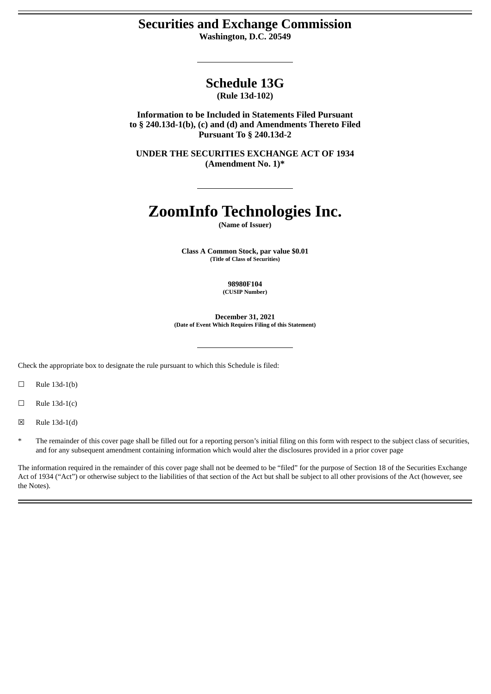# **Securities and Exchange Commission**

**Washington, D.C. 20549**

# **Schedule 13G**

**(Rule 13d-102)**

**Information to be Included in Statements Filed Pursuant to § 240.13d-1(b), (c) and (d) and Amendments Thereto Filed Pursuant To § 240.13d-2**

**UNDER THE SECURITIES EXCHANGE ACT OF 1934 (Amendment No. 1)\***

# **ZoomInfo Technologies Inc.**

**(Name of Issuer)**

**Class A Common Stock, par value \$0.01 (Title of Class of Securities)**

> **98980F104 (CUSIP Number)**

**December 31, 2021 (Date of Event Which Requires Filing of this Statement)**

Check the appropriate box to designate the rule pursuant to which this Schedule is filed:

 $\Box$  Rule 13d-1(b)

 $\Box$  Rule 13d-1(c)

☒ Rule 13d-1(d)

The remainder of this cover page shall be filled out for a reporting person's initial filing on this form with respect to the subject class of securities, and for any subsequent amendment containing information which would alter the disclosures provided in a prior cover page

The information required in the remainder of this cover page shall not be deemed to be "filed" for the purpose of Section 18 of the Securities Exchange Act of 1934 ("Act") or otherwise subject to the liabilities of that section of the Act but shall be subject to all other provisions of the Act (however, see the Notes).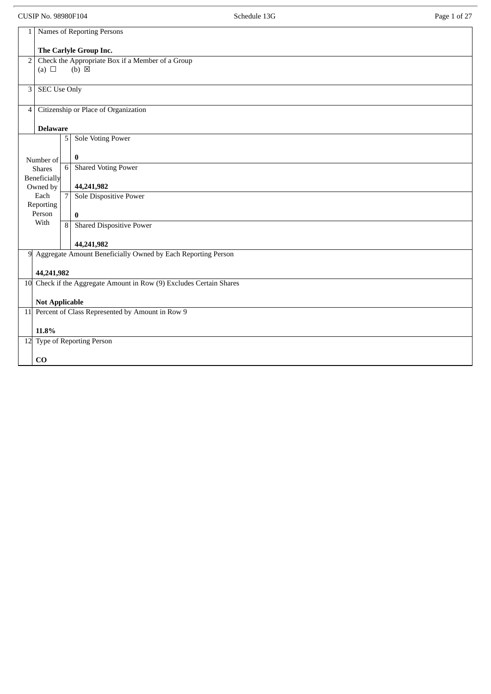CUSIP No. 98980F104 **Schedule 13G** Schedule 13G Page 1 of 27

| $\mathbf{1}$                                                                      | Names of Reporting Persons                                         |                |                                                                |
|-----------------------------------------------------------------------------------|--------------------------------------------------------------------|----------------|----------------------------------------------------------------|
|                                                                                   | The Carlyle Group Inc.                                             |                |                                                                |
|                                                                                   | Check the Appropriate Box if a Member of a Group<br>2 <sub>1</sub> |                |                                                                |
|                                                                                   | (a) $\Box$                                                         |                | $(b) \boxtimes$                                                |
|                                                                                   |                                                                    |                |                                                                |
| 3 <sup>1</sup>                                                                    | <b>SEC Use Only</b>                                                |                |                                                                |
|                                                                                   |                                                                    |                |                                                                |
| $\overline{4}$                                                                    |                                                                    |                | Citizenship or Place of Organization                           |
|                                                                                   | <b>Delaware</b>                                                    |                |                                                                |
|                                                                                   |                                                                    | 5              | <b>Sole Voting Power</b>                                       |
|                                                                                   |                                                                    |                |                                                                |
|                                                                                   | Number of                                                          |                | $\bf{0}$                                                       |
|                                                                                   | <b>Shares</b>                                                      | 6              | <b>Shared Voting Power</b>                                     |
|                                                                                   | Beneficially<br>Owned by                                           |                | 44,241,982                                                     |
|                                                                                   | Each                                                               | $\overline{7}$ | <b>Sole Dispositive Power</b>                                  |
|                                                                                   | Reporting                                                          |                |                                                                |
|                                                                                   | Person<br>With                                                     |                | $\bf{0}$                                                       |
|                                                                                   |                                                                    |                | 8 Shared Dispositive Power                                     |
|                                                                                   |                                                                    |                | 44,241,982                                                     |
|                                                                                   |                                                                    |                | 9 Aggregate Amount Beneficially Owned by Each Reporting Person |
|                                                                                   |                                                                    |                |                                                                |
| 44,241,982<br>10 Check if the Aggregate Amount in Row (9) Excludes Certain Shares |                                                                    |                |                                                                |
|                                                                                   |                                                                    |                |                                                                |
|                                                                                   | <b>Not Applicable</b>                                              |                |                                                                |
|                                                                                   |                                                                    |                | 11 Percent of Class Represented by Amount in Row 9             |
|                                                                                   | 11.8%                                                              |                |                                                                |
| 12 Type of Reporting Person                                                       |                                                                    |                |                                                                |
|                                                                                   |                                                                    |                |                                                                |
|                                                                                   | CO                                                                 |                |                                                                |
|                                                                                   |                                                                    |                |                                                                |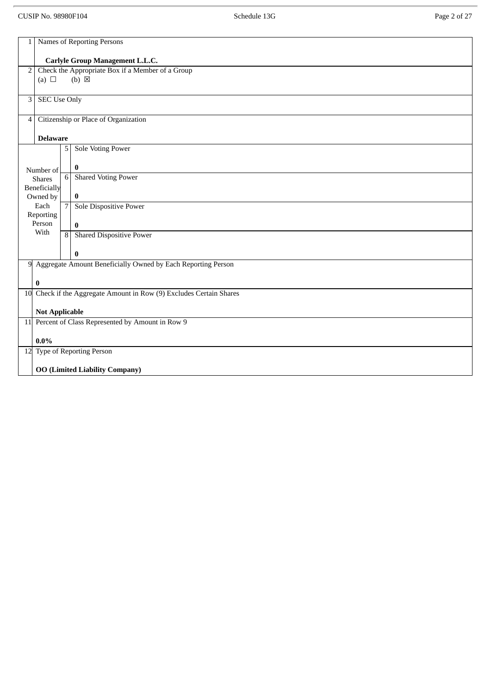# CUSIP No. 98980F104 **Schedule 13G** Schedule 13G Page 2 of 27

| Names of Reporting Persons<br>$\mathbf{1}$                                                          |  |  |  |  |  |
|-----------------------------------------------------------------------------------------------------|--|--|--|--|--|
| Carlyle Group Management L.L.C.                                                                     |  |  |  |  |  |
| Check the Appropriate Box if a Member of a Group<br>$\overline{2}$<br>(a) $\Box$<br>$(b) \boxtimes$ |  |  |  |  |  |
|                                                                                                     |  |  |  |  |  |
| <b>SEC Use Only</b><br>$\mathbf{3}$                                                                 |  |  |  |  |  |
| Citizenship or Place of Organization<br>$\overline{4}$                                              |  |  |  |  |  |
| <b>Delaware</b>                                                                                     |  |  |  |  |  |
| <b>Sole Voting Power</b><br>5                                                                       |  |  |  |  |  |
| $\boldsymbol{0}$<br>Number of                                                                       |  |  |  |  |  |
| <b>Shared Voting Power</b><br>6 <sup>1</sup><br><b>Shares</b>                                       |  |  |  |  |  |
| Beneficially<br>$\bf{0}$<br>Owned by                                                                |  |  |  |  |  |
| $\overline{7}$<br>Sole Dispositive Power<br>Each<br>Reporting                                       |  |  |  |  |  |
| Person<br>$\bf{0}$                                                                                  |  |  |  |  |  |
| With<br><b>Shared Dispositive Power</b><br>$\overline{8}$                                           |  |  |  |  |  |
| $\bf{0}$                                                                                            |  |  |  |  |  |
| 9 Aggregate Amount Beneficially Owned by Each Reporting Person                                      |  |  |  |  |  |
| $\bf{0}$                                                                                            |  |  |  |  |  |
| 10 Check if the Aggregate Amount in Row (9) Excludes Certain Shares                                 |  |  |  |  |  |
| <b>Not Applicable</b>                                                                               |  |  |  |  |  |
| 11 Percent of Class Represented by Amount in Row 9                                                  |  |  |  |  |  |
| $0.0\%$                                                                                             |  |  |  |  |  |
| 12 Type of Reporting Person                                                                         |  |  |  |  |  |
| <b>OO (Limited Liability Company)</b>                                                               |  |  |  |  |  |
|                                                                                                     |  |  |  |  |  |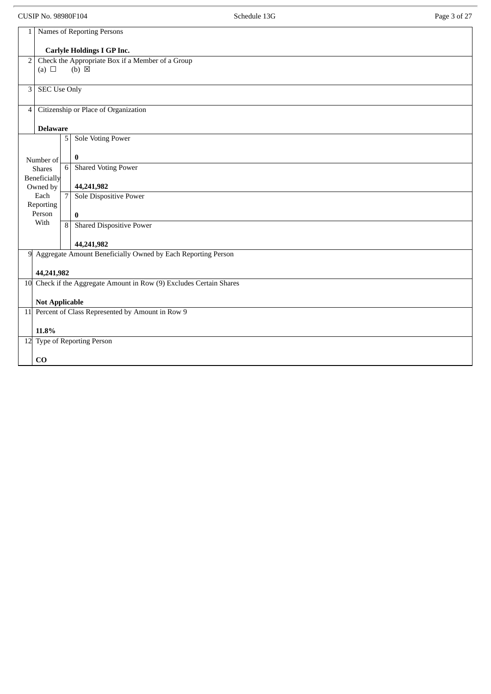CUSIP No. 98980F104 **Schedule 13G** Schedule 13G Page 3 of 27

| 1              | Names of Reporting Persons                         |                |                                                                     |  |  |
|----------------|----------------------------------------------------|----------------|---------------------------------------------------------------------|--|--|
|                | <b>Carlyle Holdings I GP Inc.</b>                  |                |                                                                     |  |  |
| 2              |                                                    |                | Check the Appropriate Box if a Member of a Group                    |  |  |
|                | (a) $\Box$                                         |                | $(b) \boxtimes$                                                     |  |  |
| $\mathbf{3}$   | <b>SEC Use Only</b>                                |                |                                                                     |  |  |
| $\overline{4}$ |                                                    |                | Citizenship or Place of Organization                                |  |  |
|                |                                                    |                |                                                                     |  |  |
|                | <b>Delaware</b>                                    |                |                                                                     |  |  |
|                |                                                    | 5              | <b>Sole Voting Power</b>                                            |  |  |
|                | Number of                                          |                | $\bf{0}$                                                            |  |  |
|                | <b>Shares</b>                                      | 6              | <b>Shared Voting Power</b>                                          |  |  |
|                | Beneficially<br>Owned by                           |                | 44,241,982                                                          |  |  |
|                | Each<br>Reporting                                  | $\overline{7}$ | Sole Dispositive Power                                              |  |  |
|                | Person                                             |                | $\bf{0}$                                                            |  |  |
|                | With                                               | 8              | <b>Shared Dispositive Power</b>                                     |  |  |
|                |                                                    |                | 44,241,982                                                          |  |  |
| 9              |                                                    |                | Aggregate Amount Beneficially Owned by Each Reporting Person        |  |  |
|                | 44,241,982                                         |                |                                                                     |  |  |
|                |                                                    |                | 10 Check if the Aggregate Amount in Row (9) Excludes Certain Shares |  |  |
|                | <b>Not Applicable</b>                              |                |                                                                     |  |  |
|                | 11 Percent of Class Represented by Amount in Row 9 |                |                                                                     |  |  |
|                | 11.8%                                              |                |                                                                     |  |  |
|                |                                                    |                | 12 Type of Reporting Person                                         |  |  |
|                | $\bf CO$                                           |                |                                                                     |  |  |
|                |                                                    |                |                                                                     |  |  |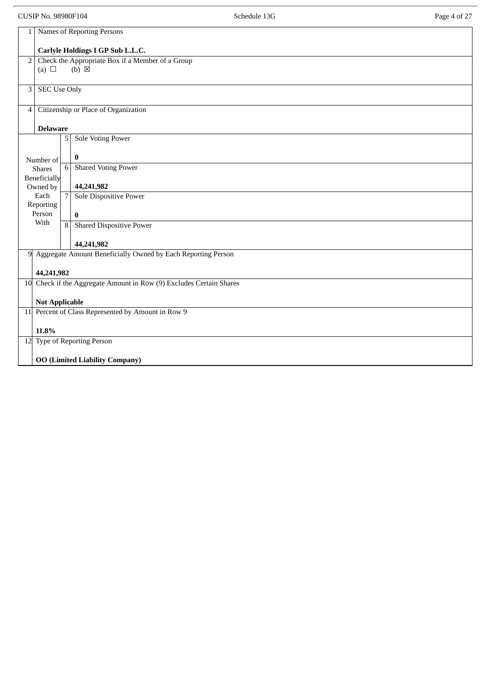CUSIP No. 98980F104 Page 4 of 27

| 1                                                                   |                                       |                | Names of Reporting Persons                                          |  |
|---------------------------------------------------------------------|---------------------------------------|----------------|---------------------------------------------------------------------|--|
|                                                                     |                                       |                | Carlyle Holdings I GP Sub L.L.C.                                    |  |
| $\overline{2}$                                                      |                                       |                | Check the Appropriate Box if a Member of a Group<br>$(b) \boxtimes$ |  |
|                                                                     | (a) $\Box$                            |                |                                                                     |  |
| 3                                                                   | <b>SEC Use Only</b>                   |                |                                                                     |  |
| $\overline{4}$                                                      |                                       |                | Citizenship or Place of Organization                                |  |
|                                                                     | <b>Delaware</b>                       |                |                                                                     |  |
|                                                                     |                                       | 5              | <b>Sole Voting Power</b>                                            |  |
|                                                                     | Number of                             |                | $\bf{0}$                                                            |  |
|                                                                     | <b>Shares</b><br>Beneficially         | 6              | <b>Shared Voting Power</b>                                          |  |
|                                                                     | Owned by                              |                | 44,241,982                                                          |  |
|                                                                     | Each<br>Reporting                     | $\overline{7}$ | <b>Sole Dispositive Power</b>                                       |  |
|                                                                     | Person                                |                | $\bf{0}$                                                            |  |
|                                                                     | With                                  | 8              | <b>Shared Dispositive Power</b>                                     |  |
|                                                                     |                                       |                | 44,241,982                                                          |  |
|                                                                     |                                       |                | 9 Aggregate Amount Beneficially Owned by Each Reporting Person      |  |
|                                                                     | 44,241,982                            |                |                                                                     |  |
| 10 Check if the Aggregate Amount in Row (9) Excludes Certain Shares |                                       |                |                                                                     |  |
| <b>Not Applicable</b>                                               |                                       |                |                                                                     |  |
|                                                                     |                                       |                | 11 Percent of Class Represented by Amount in Row 9                  |  |
| 11.8%                                                               |                                       |                |                                                                     |  |
| 12 Type of Reporting Person                                         |                                       |                |                                                                     |  |
|                                                                     | <b>OO (Limited Liability Company)</b> |                |                                                                     |  |
|                                                                     |                                       |                |                                                                     |  |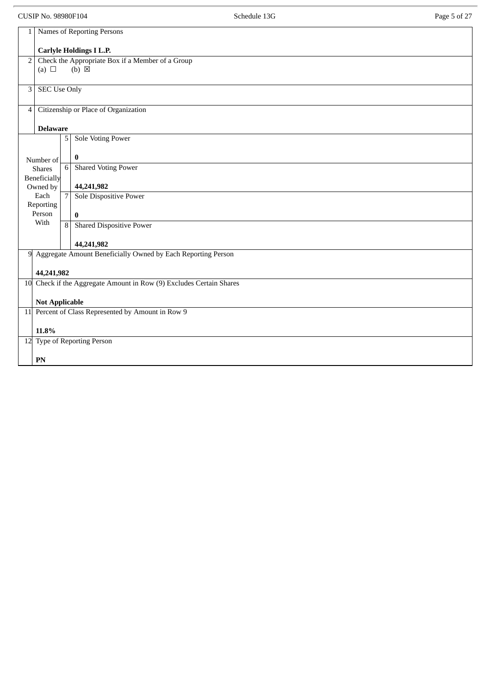CUSIP No. 98980F104 **Schedule 13G** Schedule 13G Page 5 of 27

| 1              | Names of Reporting Persons                                         |                 |                                                                     |  |  |  |  |
|----------------|--------------------------------------------------------------------|-----------------|---------------------------------------------------------------------|--|--|--|--|
|                | <b>Carlyle Holdings I L.P.</b>                                     |                 |                                                                     |  |  |  |  |
|                | Check the Appropriate Box if a Member of a Group<br>$\overline{2}$ |                 |                                                                     |  |  |  |  |
|                | (a) $\Box$                                                         |                 | $(b) \boxtimes$                                                     |  |  |  |  |
|                |                                                                    |                 |                                                                     |  |  |  |  |
| 3              | <b>SEC Use Only</b>                                                |                 |                                                                     |  |  |  |  |
|                |                                                                    |                 |                                                                     |  |  |  |  |
| $\overline{4}$ |                                                                    |                 | Citizenship or Place of Organization                                |  |  |  |  |
|                |                                                                    |                 |                                                                     |  |  |  |  |
|                | <b>Delaware</b>                                                    | 5               | <b>Sole Voting Power</b>                                            |  |  |  |  |
|                |                                                                    |                 |                                                                     |  |  |  |  |
|                | Number of                                                          |                 | $\bf{0}$                                                            |  |  |  |  |
|                | <b>Shares</b>                                                      | $6\phantom{1}6$ | <b>Shared Voting Power</b>                                          |  |  |  |  |
|                | Beneficially                                                       |                 |                                                                     |  |  |  |  |
|                | Owned by                                                           |                 | 44,241,982                                                          |  |  |  |  |
|                | Each                                                               | $\overline{7}$  | Sole Dispositive Power                                              |  |  |  |  |
|                | Reporting<br>Person                                                |                 |                                                                     |  |  |  |  |
|                | With                                                               |                 | $\bf{0}$<br>8 Shared Dispositive Power                              |  |  |  |  |
|                |                                                                    |                 |                                                                     |  |  |  |  |
|                |                                                                    |                 | 44,241,982                                                          |  |  |  |  |
| 9              |                                                                    |                 | Aggregate Amount Beneficially Owned by Each Reporting Person        |  |  |  |  |
|                |                                                                    |                 |                                                                     |  |  |  |  |
|                | 44,241,982                                                         |                 |                                                                     |  |  |  |  |
|                |                                                                    |                 | 10 Check if the Aggregate Amount in Row (9) Excludes Certain Shares |  |  |  |  |
|                | <b>Not Applicable</b>                                              |                 |                                                                     |  |  |  |  |
|                | 11 Percent of Class Represented by Amount in Row 9                 |                 |                                                                     |  |  |  |  |
|                |                                                                    |                 |                                                                     |  |  |  |  |
|                | 11.8%                                                              |                 |                                                                     |  |  |  |  |
|                |                                                                    |                 | 12 Type of Reporting Person                                         |  |  |  |  |
|                |                                                                    |                 |                                                                     |  |  |  |  |
|                | ${\bf P}{\bf N}$                                                   |                 |                                                                     |  |  |  |  |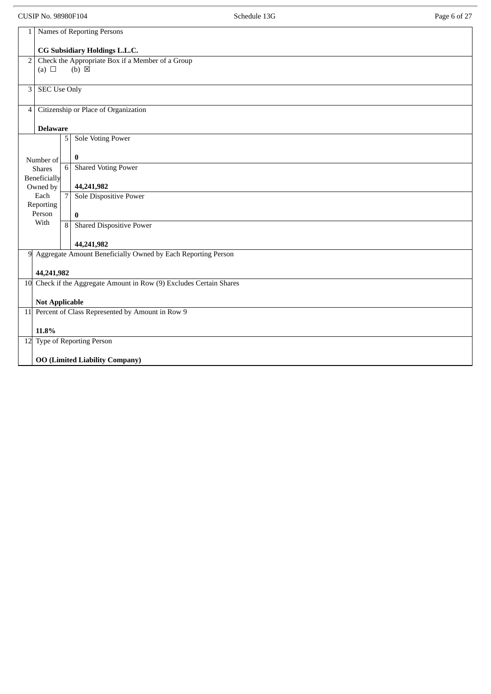| CUSIP No. 98980F104 | Schedule 13G | 0.27<br>Page 6 of 2. |
|---------------------|--------------|----------------------|
|                     |              |                      |

| 1              |                                                                             |                | Names of Reporting Persons                                          |  |
|----------------|-----------------------------------------------------------------------------|----------------|---------------------------------------------------------------------|--|
|                |                                                                             |                | CG Subsidiary Holdings L.L.C.                                       |  |
| $\overline{2}$ |                                                                             |                | Check the Appropriate Box if a Member of a Group                    |  |
|                | (a) $\Box$                                                                  |                | $(b) \boxtimes$                                                     |  |
| 3              | <b>SEC Use Only</b>                                                         |                |                                                                     |  |
|                |                                                                             |                |                                                                     |  |
| $\overline{4}$ |                                                                             |                | Citizenship or Place of Organization                                |  |
|                | <b>Delaware</b>                                                             |                |                                                                     |  |
|                |                                                                             | 5              | Sole Voting Power                                                   |  |
|                | Number of                                                                   |                | $\bf{0}$                                                            |  |
|                | <b>Shares</b>                                                               | 6              | <b>Shared Voting Power</b>                                          |  |
|                | <b>Beneficially</b><br>Owned by                                             |                | 44,241,982                                                          |  |
|                | Each                                                                        | $\overline{7}$ | Sole Dispositive Power                                              |  |
|                | Reporting<br>Person                                                         |                | $\bf{0}$                                                            |  |
|                | With                                                                        | $\overline{8}$ | <b>Shared Dispositive Power</b>                                     |  |
|                |                                                                             |                | 44,241,982                                                          |  |
| 9              |                                                                             |                | Aggregate Amount Beneficially Owned by Each Reporting Person        |  |
|                | 44,241,982                                                                  |                |                                                                     |  |
|                |                                                                             |                | 10 Check if the Aggregate Amount in Row (9) Excludes Certain Shares |  |
|                |                                                                             |                |                                                                     |  |
|                | <b>Not Applicable</b><br>11 Percent of Class Represented by Amount in Row 9 |                |                                                                     |  |
|                |                                                                             |                |                                                                     |  |
| 11.8%          |                                                                             |                |                                                                     |  |
|                | 12 Type of Reporting Person                                                 |                |                                                                     |  |
|                | <b>OO (Limited Liability Company)</b>                                       |                |                                                                     |  |
|                |                                                                             |                |                                                                     |  |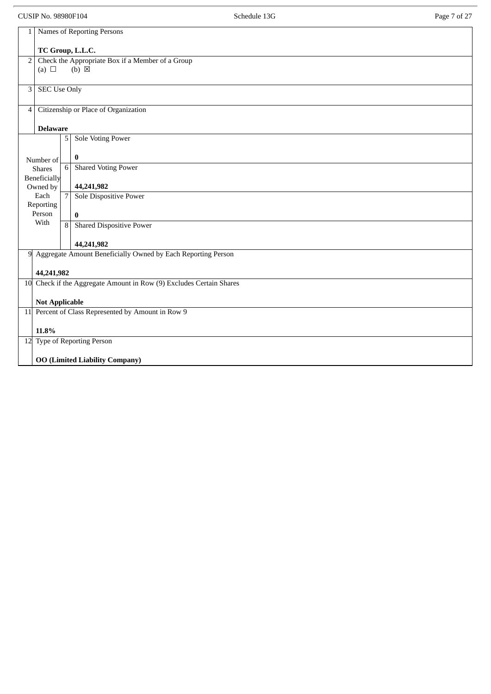CUSIP No. 98980F104 **Schedule 13G** Schedule 13G Page 7 of 27

| Names of Reporting Persons<br>$\mathbf{1}$                          |  |  |  |  |
|---------------------------------------------------------------------|--|--|--|--|
|                                                                     |  |  |  |  |
| TC Group, L.L.C.                                                    |  |  |  |  |
| Check the Appropriate Box if a Member of a Group<br>$\overline{2}$  |  |  |  |  |
| $(b) \boxtimes$<br>(a) $\Box$                                       |  |  |  |  |
|                                                                     |  |  |  |  |
| <b>SEC Use Only</b><br>3                                            |  |  |  |  |
|                                                                     |  |  |  |  |
| Citizenship or Place of Organization<br>$\overline{4}$              |  |  |  |  |
|                                                                     |  |  |  |  |
| <b>Delaware</b>                                                     |  |  |  |  |
| <b>Sole Voting Power</b><br>5                                       |  |  |  |  |
|                                                                     |  |  |  |  |
| $\bf{0}$<br>Number of                                               |  |  |  |  |
| $\,6\,$<br><b>Shared Voting Power</b><br><b>Shares</b>              |  |  |  |  |
| Beneficially                                                        |  |  |  |  |
| 44,241,982<br>Owned by                                              |  |  |  |  |
| $\overline{7}$<br>Each<br><b>Sole Dispositive Power</b>             |  |  |  |  |
| Reporting                                                           |  |  |  |  |
| Person<br>$\bf{0}$                                                  |  |  |  |  |
| With<br><b>Shared Dispositive Power</b><br>$\overline{8}$           |  |  |  |  |
|                                                                     |  |  |  |  |
| 44,241,982                                                          |  |  |  |  |
| Aggregate Amount Beneficially Owned by Each Reporting Person<br>9   |  |  |  |  |
|                                                                     |  |  |  |  |
| 44,241,982                                                          |  |  |  |  |
| 10 Check if the Aggregate Amount in Row (9) Excludes Certain Shares |  |  |  |  |
|                                                                     |  |  |  |  |
|                                                                     |  |  |  |  |
| <b>Not Applicable</b>                                               |  |  |  |  |
| 11 Percent of Class Represented by Amount in Row 9                  |  |  |  |  |
|                                                                     |  |  |  |  |
| 11.8%                                                               |  |  |  |  |
| 12 Type of Reporting Person                                         |  |  |  |  |
|                                                                     |  |  |  |  |
| <b>OO (Limited Liability Company)</b>                               |  |  |  |  |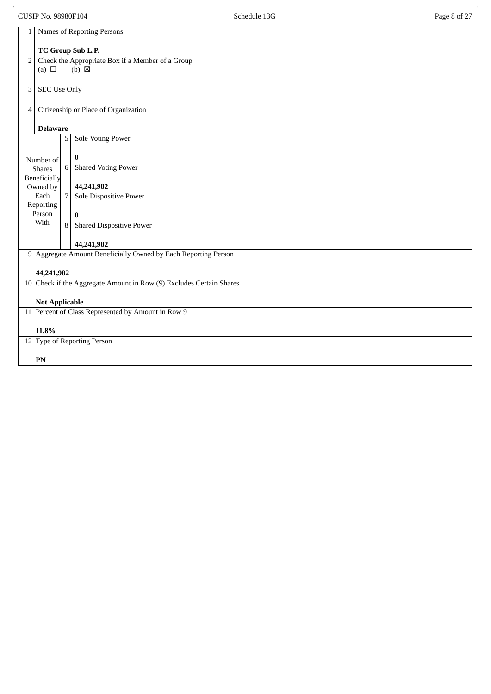CUSIP No. 98980F104 **Schedule 13G** Schedule 13G Page 8 of 27

| 1                                                  | Names of Reporting Persons |                |                                                                     |  |  |
|----------------------------------------------------|----------------------------|----------------|---------------------------------------------------------------------|--|--|
|                                                    | TC Group Sub L.P.          |                |                                                                     |  |  |
| 2                                                  |                            |                | Check the Appropriate Box if a Member of a Group                    |  |  |
|                                                    | (a) $\Box$                 |                | $(b) \boxtimes$                                                     |  |  |
| $\mathbf{3}$                                       | <b>SEC Use Only</b>        |                |                                                                     |  |  |
| $\overline{4}$                                     |                            |                | Citizenship or Place of Organization                                |  |  |
|                                                    | <b>Delaware</b>            |                |                                                                     |  |  |
|                                                    |                            | 5              | <b>Sole Voting Power</b>                                            |  |  |
|                                                    | Number of                  |                | $\bf{0}$                                                            |  |  |
|                                                    | <b>Shares</b>              | 6              | <b>Shared Voting Power</b>                                          |  |  |
|                                                    | Beneficially<br>Owned by   |                | 44,241,982                                                          |  |  |
|                                                    | Each<br>Reporting          | $\overline{7}$ | Sole Dispositive Power                                              |  |  |
|                                                    | Person                     |                | $\bf{0}$                                                            |  |  |
|                                                    | With                       | $\overline{8}$ | <b>Shared Dispositive Power</b>                                     |  |  |
|                                                    |                            |                | 44,241,982                                                          |  |  |
| 9                                                  |                            |                | Aggregate Amount Beneficially Owned by Each Reporting Person        |  |  |
|                                                    | 44,241,982                 |                |                                                                     |  |  |
|                                                    |                            |                | 10 Check if the Aggregate Amount in Row (9) Excludes Certain Shares |  |  |
|                                                    | <b>Not Applicable</b>      |                |                                                                     |  |  |
| 11 Percent of Class Represented by Amount in Row 9 |                            |                |                                                                     |  |  |
|                                                    | 11.8%                      |                |                                                                     |  |  |
| 12 Type of Reporting Person                        |                            |                |                                                                     |  |  |
|                                                    | PN                         |                |                                                                     |  |  |
|                                                    |                            |                |                                                                     |  |  |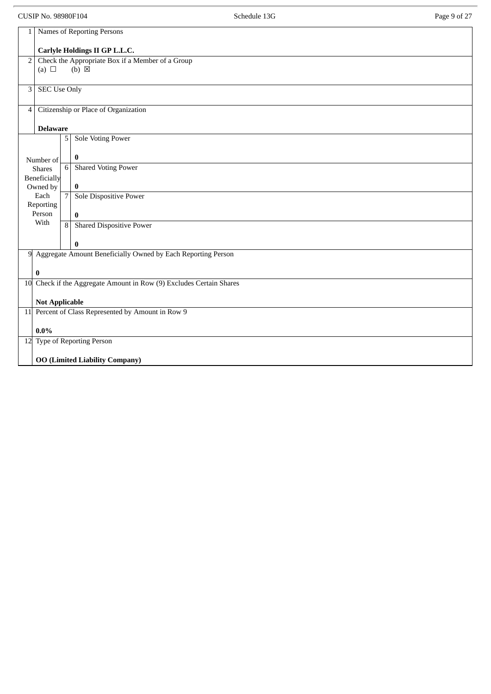CUSIP No. 98980F104 Page 9 of 27

| $\mathbf{1}$   |                                                                                                     |                | Names of Reporting Persons                                     |  |
|----------------|-----------------------------------------------------------------------------------------------------|----------------|----------------------------------------------------------------|--|
|                | Carlyle Holdings II GP L.L.C.                                                                       |                |                                                                |  |
|                | Check the Appropriate Box if a Member of a Group<br>$\overline{2}$<br>$(b) \boxtimes$<br>(a) $\Box$ |                |                                                                |  |
|                |                                                                                                     |                |                                                                |  |
| 3              | <b>SEC Use Only</b>                                                                                 |                |                                                                |  |
| $\overline{4}$ |                                                                                                     |                | Citizenship or Place of Organization                           |  |
|                | <b>Delaware</b>                                                                                     |                |                                                                |  |
|                |                                                                                                     | 5              | <b>Sole Voting Power</b>                                       |  |
|                | Number of                                                                                           |                | $\bf{0}$                                                       |  |
|                | <b>Shares</b><br>Beneficially                                                                       | $6\,$          | <b>Shared Voting Power</b>                                     |  |
|                | Owned by                                                                                            |                | $\bf{0}$                                                       |  |
|                | Each<br>Reporting                                                                                   | $\overline{7}$ | Sole Dispositive Power                                         |  |
|                | Person                                                                                              |                | $\bf{0}$                                                       |  |
|                | With                                                                                                | $\overline{8}$ | <b>Shared Dispositive Power</b>                                |  |
|                |                                                                                                     |                | $\bf{0}$                                                       |  |
|                |                                                                                                     |                | 9 Aggregate Amount Beneficially Owned by Each Reporting Person |  |
|                | $\bf{0}$                                                                                            |                |                                                                |  |
|                | 10 Check if the Aggregate Amount in Row (9) Excludes Certain Shares                                 |                |                                                                |  |
|                | <b>Not Applicable</b>                                                                               |                |                                                                |  |
|                |                                                                                                     |                | 11 Percent of Class Represented by Amount in Row 9             |  |
| $0.0\%$        |                                                                                                     |                |                                                                |  |
|                | 12 Type of Reporting Person                                                                         |                |                                                                |  |
|                | <b>OO (Limited Liability Company)</b>                                                               |                |                                                                |  |
|                |                                                                                                     |                |                                                                |  |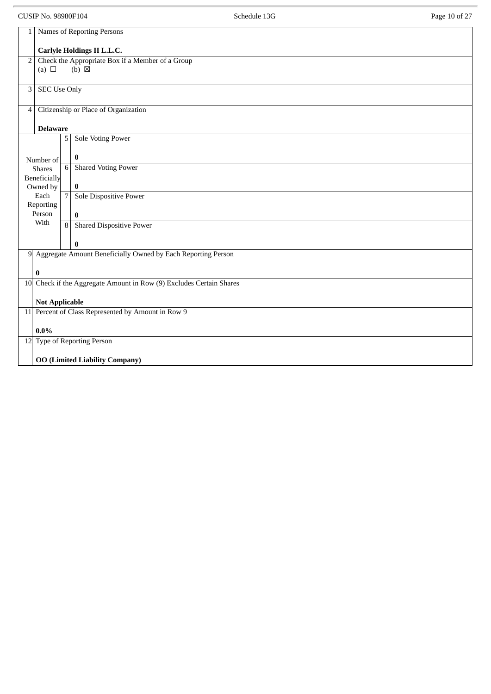CUSIP No. 98980F104 **Schedule 13G** Schedule 13G Page 10 of 27

| 1                     | Names of Reporting Persons                                                     |                |                                                                            |  |  |  |
|-----------------------|--------------------------------------------------------------------------------|----------------|----------------------------------------------------------------------------|--|--|--|
|                       |                                                                                |                |                                                                            |  |  |  |
| $\overline{2}$        | Carlyle Holdings II L.L.C.<br>Check the Appropriate Box if a Member of a Group |                |                                                                            |  |  |  |
|                       | (a) $\Box$                                                                     |                | $(b) \boxtimes$                                                            |  |  |  |
|                       |                                                                                |                |                                                                            |  |  |  |
| 3 <sup>1</sup>        | <b>SEC Use Only</b>                                                            |                |                                                                            |  |  |  |
|                       |                                                                                |                |                                                                            |  |  |  |
| $\overline{4}$        |                                                                                |                | Citizenship or Place of Organization                                       |  |  |  |
|                       |                                                                                |                |                                                                            |  |  |  |
|                       | <b>Delaware</b>                                                                |                |                                                                            |  |  |  |
|                       |                                                                                | 5              | <b>Sole Voting Power</b>                                                   |  |  |  |
|                       |                                                                                |                |                                                                            |  |  |  |
|                       | Number of                                                                      | 6              | $\bf{0}$<br><b>Shared Voting Power</b>                                     |  |  |  |
|                       | <b>Shares</b><br>Beneficially                                                  |                |                                                                            |  |  |  |
|                       | Owned by                                                                       |                | $\bf{0}$                                                                   |  |  |  |
|                       | Each                                                                           | $\overline{7}$ | <b>Sole Dispositive Power</b>                                              |  |  |  |
|                       | Reporting                                                                      |                |                                                                            |  |  |  |
|                       | Person                                                                         |                | $\bf{0}$                                                                   |  |  |  |
|                       | With                                                                           |                | 8 Shared Dispositive Power                                                 |  |  |  |
|                       |                                                                                |                |                                                                            |  |  |  |
|                       |                                                                                |                | $\bf{0}$<br>9 Aggregate Amount Beneficially Owned by Each Reporting Person |  |  |  |
|                       |                                                                                |                |                                                                            |  |  |  |
|                       | $\bf{0}$                                                                       |                |                                                                            |  |  |  |
|                       |                                                                                |                | 10 Check if the Aggregate Amount in Row (9) Excludes Certain Shares        |  |  |  |
|                       |                                                                                |                |                                                                            |  |  |  |
| <b>Not Applicable</b> |                                                                                |                |                                                                            |  |  |  |
|                       |                                                                                |                | 11 Percent of Class Represented by Amount in Row 9                         |  |  |  |
|                       |                                                                                |                |                                                                            |  |  |  |
|                       | $0.0\%$                                                                        |                |                                                                            |  |  |  |
|                       | 12 Type of Reporting Person                                                    |                |                                                                            |  |  |  |
|                       | <b>OO (Limited Liability Company)</b>                                          |                |                                                                            |  |  |  |
|                       |                                                                                |                |                                                                            |  |  |  |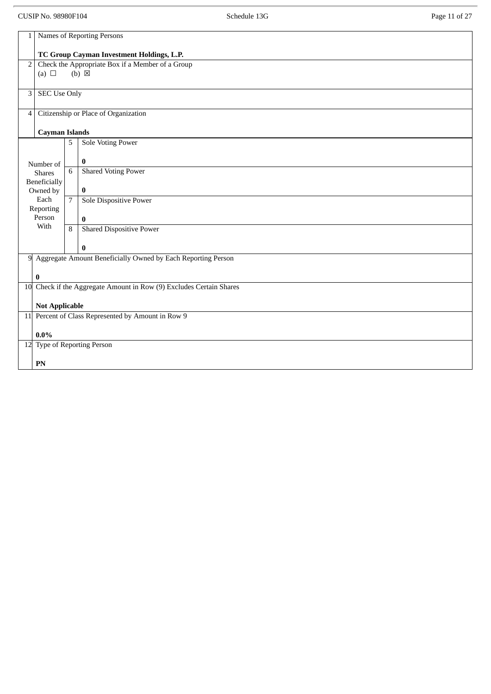CUSIP No. 98980F104 **Schedule 13G** Schedule 13G Page 11 of 27

| $\mathbf{1}$                |                                           |                                                  | Names of Reporting Persons                                          |  |  |  |
|-----------------------------|-------------------------------------------|--------------------------------------------------|---------------------------------------------------------------------|--|--|--|
|                             |                                           |                                                  |                                                                     |  |  |  |
|                             | TC Group Cayman Investment Holdings, L.P. |                                                  |                                                                     |  |  |  |
| 2 <sub>1</sub>              |                                           | Check the Appropriate Box if a Member of a Group |                                                                     |  |  |  |
|                             | (a) $\Box$                                |                                                  | $(b) \boxtimes$                                                     |  |  |  |
|                             |                                           |                                                  |                                                                     |  |  |  |
| 3                           | <b>SEC Use Only</b>                       |                                                  |                                                                     |  |  |  |
| $\vert$                     |                                           |                                                  | Citizenship or Place of Organization                                |  |  |  |
|                             | <b>Cayman Islands</b>                     |                                                  |                                                                     |  |  |  |
|                             |                                           | 5                                                | Sole Voting Power                                                   |  |  |  |
|                             | Number of                                 |                                                  | $\bf{0}$                                                            |  |  |  |
|                             | <b>Shares</b>                             | $\overline{6}$                                   | <b>Shared Voting Power</b>                                          |  |  |  |
|                             | Beneficially                              |                                                  |                                                                     |  |  |  |
|                             | Owned by<br>Each                          |                                                  | $\bf{0}$                                                            |  |  |  |
|                             | Reporting                                 | $\overline{7}$                                   | <b>Sole Dispositive Power</b>                                       |  |  |  |
|                             | Person                                    |                                                  | $\bf{0}$                                                            |  |  |  |
|                             | With                                      | 8                                                | <b>Shared Dispositive Power</b>                                     |  |  |  |
|                             |                                           |                                                  | $\bf{0}$                                                            |  |  |  |
|                             |                                           |                                                  | 9 Aggregate Amount Beneficially Owned by Each Reporting Person      |  |  |  |
|                             | $\bf{0}$                                  |                                                  |                                                                     |  |  |  |
|                             |                                           |                                                  | 10 Check if the Aggregate Amount in Row (9) Excludes Certain Shares |  |  |  |
|                             | <b>Not Applicable</b>                     |                                                  |                                                                     |  |  |  |
|                             |                                           |                                                  | 11 Percent of Class Represented by Amount in Row 9                  |  |  |  |
| $0.0\%$                     |                                           |                                                  |                                                                     |  |  |  |
| 12 Type of Reporting Person |                                           |                                                  |                                                                     |  |  |  |
|                             | PN                                        |                                                  |                                                                     |  |  |  |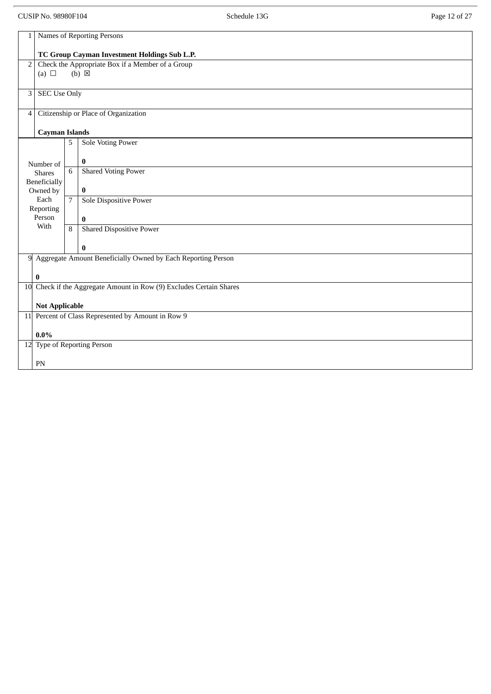CUSIP No. 98980F104 **Schedule 13G** Schedule 13G Page 12 of 27

| $\mathbf{1}$   |                                                                     |                                                                     | Names of Reporting Persons                                     |  |  |  |  |
|----------------|---------------------------------------------------------------------|---------------------------------------------------------------------|----------------------------------------------------------------|--|--|--|--|
|                |                                                                     |                                                                     |                                                                |  |  |  |  |
|                | TC Group Cayman Investment Holdings Sub L.P.                        |                                                                     |                                                                |  |  |  |  |
| 2 <sub>1</sub> |                                                                     | Check the Appropriate Box if a Member of a Group<br>$(b) \boxtimes$ |                                                                |  |  |  |  |
|                | (a) $\Box$                                                          |                                                                     |                                                                |  |  |  |  |
| 3              | <b>SEC Use Only</b>                                                 |                                                                     |                                                                |  |  |  |  |
|                |                                                                     |                                                                     |                                                                |  |  |  |  |
| $\overline{4}$ |                                                                     |                                                                     | Citizenship or Place of Organization                           |  |  |  |  |
|                | <b>Cayman Islands</b>                                               |                                                                     |                                                                |  |  |  |  |
|                |                                                                     | 5                                                                   | <b>Sole Voting Power</b>                                       |  |  |  |  |
|                |                                                                     |                                                                     | $\bf{0}$                                                       |  |  |  |  |
|                | Number of<br><b>Shares</b>                                          | 6                                                                   | <b>Shared Voting Power</b>                                     |  |  |  |  |
|                | Beneficially                                                        |                                                                     |                                                                |  |  |  |  |
|                | Owned by                                                            |                                                                     | $\bf{0}$                                                       |  |  |  |  |
|                | Each<br>Reporting                                                   | $\overline{7}$                                                      | Sole Dispositive Power                                         |  |  |  |  |
|                | Person                                                              |                                                                     | $\bf{0}$                                                       |  |  |  |  |
|                | With                                                                | $\overline{8}$                                                      | <b>Shared Dispositive Power</b>                                |  |  |  |  |
|                |                                                                     |                                                                     | $\pmb{0}$                                                      |  |  |  |  |
|                |                                                                     |                                                                     | 9 Aggregate Amount Beneficially Owned by Each Reporting Person |  |  |  |  |
|                |                                                                     |                                                                     |                                                                |  |  |  |  |
|                | $\bf{0}$                                                            |                                                                     |                                                                |  |  |  |  |
|                | 10 Check if the Aggregate Amount in Row (9) Excludes Certain Shares |                                                                     |                                                                |  |  |  |  |
|                | <b>Not Applicable</b>                                               |                                                                     |                                                                |  |  |  |  |
|                |                                                                     |                                                                     | 11 Percent of Class Represented by Amount in Row 9             |  |  |  |  |
|                | $0.0\%$                                                             |                                                                     |                                                                |  |  |  |  |
|                |                                                                     |                                                                     | 12 Type of Reporting Person                                    |  |  |  |  |
|                | PN                                                                  |                                                                     |                                                                |  |  |  |  |
|                |                                                                     |                                                                     |                                                                |  |  |  |  |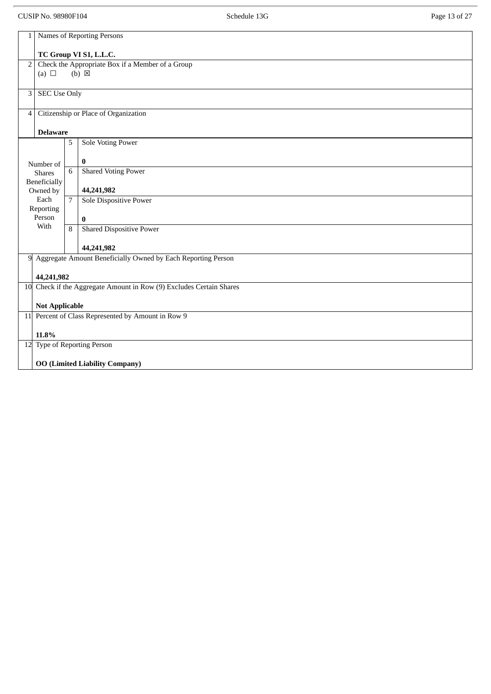CUSIP No. 98980F104 **Schedule 13G** Schedule 13G Page 13 of 27

| 1                                                  | Names of Reporting Persons                       |                |                                                                     |  |  |  |
|----------------------------------------------------|--------------------------------------------------|----------------|---------------------------------------------------------------------|--|--|--|
|                                                    |                                                  |                |                                                                     |  |  |  |
|                                                    | TC Group VI S1, L.L.C.                           |                |                                                                     |  |  |  |
| $\overline{2}$                                     | Check the Appropriate Box if a Member of a Group |                |                                                                     |  |  |  |
| (a) $\Box$                                         |                                                  |                | $(b) \boxtimes$                                                     |  |  |  |
|                                                    |                                                  |                |                                                                     |  |  |  |
| 3                                                  | <b>SEC Use Only</b>                              |                |                                                                     |  |  |  |
|                                                    |                                                  |                |                                                                     |  |  |  |
| $\overline{4}$                                     |                                                  |                | Citizenship or Place of Organization                                |  |  |  |
|                                                    |                                                  |                |                                                                     |  |  |  |
|                                                    | <b>Delaware</b>                                  |                |                                                                     |  |  |  |
|                                                    |                                                  |                |                                                                     |  |  |  |
|                                                    |                                                  | 5              | <b>Sole Voting Power</b>                                            |  |  |  |
|                                                    |                                                  |                |                                                                     |  |  |  |
|                                                    | Number of                                        |                | $\bf{0}$                                                            |  |  |  |
|                                                    | <b>Shares</b>                                    | 6              | <b>Shared Voting Power</b>                                          |  |  |  |
|                                                    | Beneficially                                     |                |                                                                     |  |  |  |
|                                                    | Owned by                                         |                | 44,241,982                                                          |  |  |  |
|                                                    | Each                                             | $\overline{7}$ | Sole Dispositive Power                                              |  |  |  |
|                                                    | Reporting                                        |                |                                                                     |  |  |  |
|                                                    | Person                                           |                | $\bf{0}$                                                            |  |  |  |
|                                                    | With                                             | 8              | <b>Shared Dispositive Power</b>                                     |  |  |  |
|                                                    |                                                  |                |                                                                     |  |  |  |
|                                                    |                                                  |                | 44,241,982                                                          |  |  |  |
|                                                    |                                                  |                | 9 Aggregate Amount Beneficially Owned by Each Reporting Person      |  |  |  |
|                                                    |                                                  |                |                                                                     |  |  |  |
|                                                    | 44,241,982                                       |                |                                                                     |  |  |  |
|                                                    |                                                  |                | 10 Check if the Aggregate Amount in Row (9) Excludes Certain Shares |  |  |  |
|                                                    |                                                  |                |                                                                     |  |  |  |
|                                                    |                                                  |                |                                                                     |  |  |  |
|                                                    | <b>Not Applicable</b>                            |                |                                                                     |  |  |  |
| 11 Percent of Class Represented by Amount in Row 9 |                                                  |                |                                                                     |  |  |  |
|                                                    |                                                  |                |                                                                     |  |  |  |
|                                                    | 11.8%                                            |                |                                                                     |  |  |  |
|                                                    |                                                  |                | 12 Type of Reporting Person                                         |  |  |  |
|                                                    |                                                  |                |                                                                     |  |  |  |
|                                                    |                                                  |                | <b>OO (Limited Liability Company)</b>                               |  |  |  |
|                                                    |                                                  |                |                                                                     |  |  |  |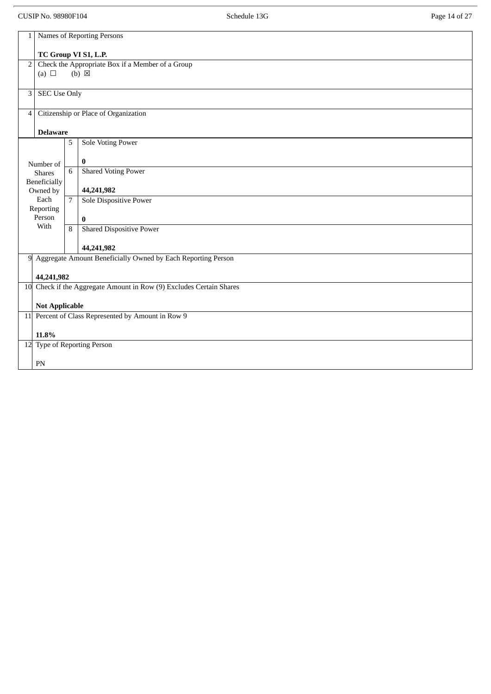CUSIP No. 98980F104 **Schedule 13G** Schedule 13G Page 14 of 27

| $\mathbf{1}$   | <b>Names of Reporting Persons</b>                |                |                                                                     |  |  |  |
|----------------|--------------------------------------------------|----------------|---------------------------------------------------------------------|--|--|--|
|                |                                                  |                |                                                                     |  |  |  |
|                |                                                  |                | TC Group VI S1, L.P.                                                |  |  |  |
| $\overline{2}$ | Check the Appropriate Box if a Member of a Group |                |                                                                     |  |  |  |
|                | (a) $\Box$                                       |                | $(b) \boxtimes$                                                     |  |  |  |
|                |                                                  |                |                                                                     |  |  |  |
| $\mathbf{3}$   | <b>SEC Use Only</b>                              |                |                                                                     |  |  |  |
|                |                                                  |                |                                                                     |  |  |  |
| $\vert$ 4      |                                                  |                | Citizenship or Place of Organization                                |  |  |  |
|                |                                                  |                |                                                                     |  |  |  |
|                | <b>Delaware</b>                                  |                |                                                                     |  |  |  |
|                |                                                  | 5              | <b>Sole Voting Power</b>                                            |  |  |  |
|                |                                                  |                |                                                                     |  |  |  |
|                | Number of                                        |                | $\bf{0}$                                                            |  |  |  |
|                | <b>Shares</b>                                    | 6              | <b>Shared Voting Power</b>                                          |  |  |  |
|                | Beneficially                                     |                |                                                                     |  |  |  |
|                | Owned by                                         |                | 44,241,982                                                          |  |  |  |
|                | Each                                             | $\overline{7}$ | Sole Dispositive Power                                              |  |  |  |
|                | Reporting                                        |                |                                                                     |  |  |  |
|                | Person                                           |                | $\bf{0}$                                                            |  |  |  |
|                | With                                             | $\overline{8}$ | <b>Shared Dispositive Power</b>                                     |  |  |  |
|                |                                                  |                |                                                                     |  |  |  |
|                |                                                  |                | 44,241,982                                                          |  |  |  |
| 9              |                                                  |                | Aggregate Amount Beneficially Owned by Each Reporting Person        |  |  |  |
|                |                                                  |                |                                                                     |  |  |  |
|                | 44,241,982                                       |                |                                                                     |  |  |  |
|                |                                                  |                | 10 Check if the Aggregate Amount in Row (9) Excludes Certain Shares |  |  |  |
|                |                                                  |                |                                                                     |  |  |  |
|                | <b>Not Applicable</b>                            |                |                                                                     |  |  |  |
|                |                                                  |                | 11 Percent of Class Represented by Amount in Row 9                  |  |  |  |
|                |                                                  |                |                                                                     |  |  |  |
|                | 11.8%                                            |                |                                                                     |  |  |  |
|                |                                                  |                | 12 Type of Reporting Person                                         |  |  |  |
|                |                                                  |                |                                                                     |  |  |  |
|                | $\mathbf{PN}$                                    |                |                                                                     |  |  |  |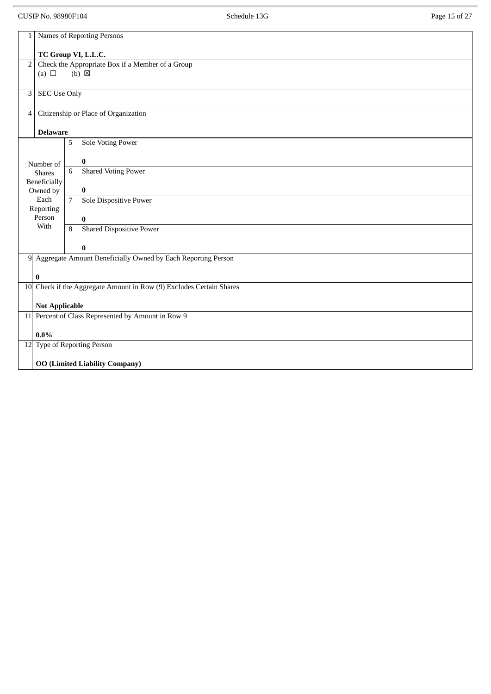CUSIP No. 98980F104 **Schedule 13G** Schedule 13G Page 15 of 27

| $\mathbf{1}$                                       | Names of Reporting Persons            |                |                                                                     |  |  |  |  |
|----------------------------------------------------|---------------------------------------|----------------|---------------------------------------------------------------------|--|--|--|--|
|                                                    |                                       |                |                                                                     |  |  |  |  |
|                                                    | TC Group VI, L.L.C.                   |                |                                                                     |  |  |  |  |
| $\overline{2}$                                     |                                       |                | Check the Appropriate Box if a Member of a Group                    |  |  |  |  |
|                                                    | (a) $\Box$                            |                | $(b) \boxtimes$                                                     |  |  |  |  |
|                                                    |                                       |                |                                                                     |  |  |  |  |
| 3                                                  | <b>SEC Use Only</b>                   |                |                                                                     |  |  |  |  |
|                                                    |                                       |                |                                                                     |  |  |  |  |
| $\overline{4}$                                     |                                       |                | Citizenship or Place of Organization                                |  |  |  |  |
|                                                    |                                       |                |                                                                     |  |  |  |  |
|                                                    |                                       |                |                                                                     |  |  |  |  |
|                                                    | <b>Delaware</b>                       |                |                                                                     |  |  |  |  |
|                                                    |                                       | 5              | <b>Sole Voting Power</b>                                            |  |  |  |  |
|                                                    |                                       |                |                                                                     |  |  |  |  |
|                                                    | Number of                             |                | $\bf{0}$                                                            |  |  |  |  |
|                                                    | <b>Shares</b>                         | 6              | <b>Shared Voting Power</b>                                          |  |  |  |  |
|                                                    | Beneficially                          |                |                                                                     |  |  |  |  |
|                                                    | Owned by                              |                | $\bf{0}$                                                            |  |  |  |  |
|                                                    | Each                                  | $\overline{7}$ | <b>Sole Dispositive Power</b>                                       |  |  |  |  |
|                                                    | Reporting                             |                |                                                                     |  |  |  |  |
|                                                    | Person                                |                | $\bf{0}$                                                            |  |  |  |  |
|                                                    | With                                  | $\overline{8}$ | <b>Shared Dispositive Power</b>                                     |  |  |  |  |
|                                                    |                                       |                |                                                                     |  |  |  |  |
|                                                    |                                       |                | $\bf{0}$                                                            |  |  |  |  |
|                                                    |                                       |                | 9 Aggregate Amount Beneficially Owned by Each Reporting Person      |  |  |  |  |
|                                                    |                                       |                |                                                                     |  |  |  |  |
|                                                    |                                       |                |                                                                     |  |  |  |  |
|                                                    | $\bf{0}$                              |                |                                                                     |  |  |  |  |
|                                                    |                                       |                | 10 Check if the Aggregate Amount in Row (9) Excludes Certain Shares |  |  |  |  |
|                                                    |                                       |                |                                                                     |  |  |  |  |
|                                                    | <b>Not Applicable</b>                 |                |                                                                     |  |  |  |  |
| 11 Percent of Class Represented by Amount in Row 9 |                                       |                |                                                                     |  |  |  |  |
|                                                    |                                       |                |                                                                     |  |  |  |  |
|                                                    | $0.0\%$                               |                |                                                                     |  |  |  |  |
|                                                    | 12 Type of Reporting Person           |                |                                                                     |  |  |  |  |
|                                                    |                                       |                |                                                                     |  |  |  |  |
|                                                    | <b>OO (Limited Liability Company)</b> |                |                                                                     |  |  |  |  |
|                                                    |                                       |                |                                                                     |  |  |  |  |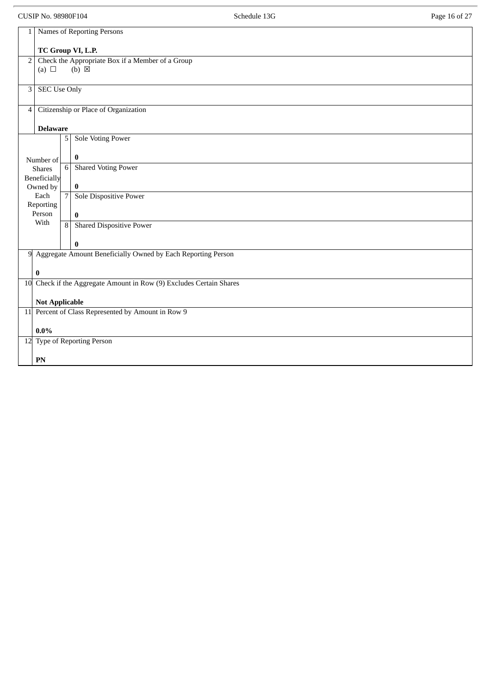CUSIP No. 98980F104 **Schedule 13G** Schedule 13G Page 16 of 27

| $\mathbf{1}$   | Names of Reporting Persons                                          |                |                                                                     |  |  |  |
|----------------|---------------------------------------------------------------------|----------------|---------------------------------------------------------------------|--|--|--|
|                | TC Group VI, L.P.                                                   |                |                                                                     |  |  |  |
| $\overline{2}$ | (a) $\Box$                                                          |                | Check the Appropriate Box if a Member of a Group<br>$(b) \boxtimes$ |  |  |  |
|                |                                                                     |                |                                                                     |  |  |  |
|                | <b>SEC Use Only</b><br>3                                            |                |                                                                     |  |  |  |
| $\overline{4}$ |                                                                     |                | Citizenship or Place of Organization                                |  |  |  |
|                | <b>Delaware</b>                                                     |                |                                                                     |  |  |  |
|                |                                                                     | 5 <sup>1</sup> | <b>Sole Voting Power</b>                                            |  |  |  |
|                | Number of                                                           |                | $\bf{0}$                                                            |  |  |  |
|                | <b>Shares</b>                                                       | $\,6\,$        | <b>Shared Voting Power</b>                                          |  |  |  |
|                | <b>Beneficially</b><br>Owned by                                     |                | $\pmb{0}$                                                           |  |  |  |
|                | Each<br>Reporting                                                   | $\overline{7}$ | Sole Dispositive Power                                              |  |  |  |
|                | Person                                                              |                | $\bf{0}$                                                            |  |  |  |
|                | With                                                                |                | 8 Shared Dispositive Power                                          |  |  |  |
|                |                                                                     |                | $\bf{0}$                                                            |  |  |  |
|                |                                                                     |                | 9 Aggregate Amount Beneficially Owned by Each Reporting Person      |  |  |  |
|                | 0                                                                   |                |                                                                     |  |  |  |
|                | 10 Check if the Aggregate Amount in Row (9) Excludes Certain Shares |                |                                                                     |  |  |  |
|                | <b>Not Applicable</b>                                               |                |                                                                     |  |  |  |
|                |                                                                     |                | 11 Percent of Class Represented by Amount in Row 9                  |  |  |  |
|                | $0.0\%$                                                             |                |                                                                     |  |  |  |
|                |                                                                     |                | 12 Type of Reporting Person                                         |  |  |  |
|                | ${\bf P}{\bf N}$                                                    |                |                                                                     |  |  |  |
|                |                                                                     |                |                                                                     |  |  |  |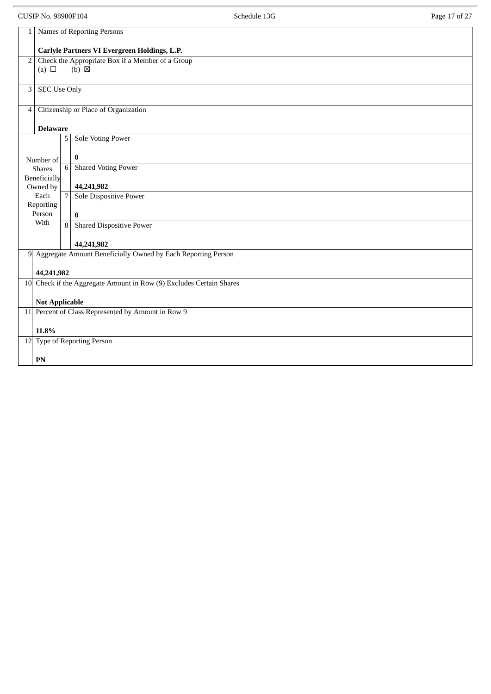CUSIP No. 98980F104 **Schedule 13G** Schedule 13G Page 17 of 27

| $\mathbf{1}$   | Names of Reporting Persons                                                  |  |  |  |  |
|----------------|-----------------------------------------------------------------------------|--|--|--|--|
|                | Carlyle Partners VI Evergreen Holdings, L.P.                                |  |  |  |  |
| $\overline{2}$ | Check the Appropriate Box if a Member of a Group                            |  |  |  |  |
|                | $(b) \boxtimes$<br>(a) $\Box$                                               |  |  |  |  |
| 3              | <b>SEC Use Only</b>                                                         |  |  |  |  |
|                |                                                                             |  |  |  |  |
| $\overline{4}$ | Citizenship or Place of Organization                                        |  |  |  |  |
|                | <b>Delaware</b>                                                             |  |  |  |  |
|                | <b>Sole Voting Power</b><br>5                                               |  |  |  |  |
|                |                                                                             |  |  |  |  |
|                | $\bf{0}$<br>Number of<br><b>Shared Voting Power</b><br>6<br><b>Shares</b>   |  |  |  |  |
|                | <b>Beneficially</b>                                                         |  |  |  |  |
|                | 44,241,982<br>Owned by                                                      |  |  |  |  |
|                | Each<br>$\overline{7}$<br>Sole Dispositive Power<br>Reporting               |  |  |  |  |
|                | Person<br>$\bf{0}$                                                          |  |  |  |  |
|                | With<br><b>Shared Dispositive Power</b><br>$\overline{8}$                   |  |  |  |  |
|                | 44,241,982                                                                  |  |  |  |  |
| 9              | Aggregate Amount Beneficially Owned by Each Reporting Person                |  |  |  |  |
|                | 44,241,982                                                                  |  |  |  |  |
|                | 10 Check if the Aggregate Amount in Row (9) Excludes Certain Shares         |  |  |  |  |
|                |                                                                             |  |  |  |  |
|                | <b>Not Applicable</b><br>11 Percent of Class Represented by Amount in Row 9 |  |  |  |  |
|                |                                                                             |  |  |  |  |
|                | 11.8%<br>12 Type of Reporting Person                                        |  |  |  |  |
|                |                                                                             |  |  |  |  |
|                | PN                                                                          |  |  |  |  |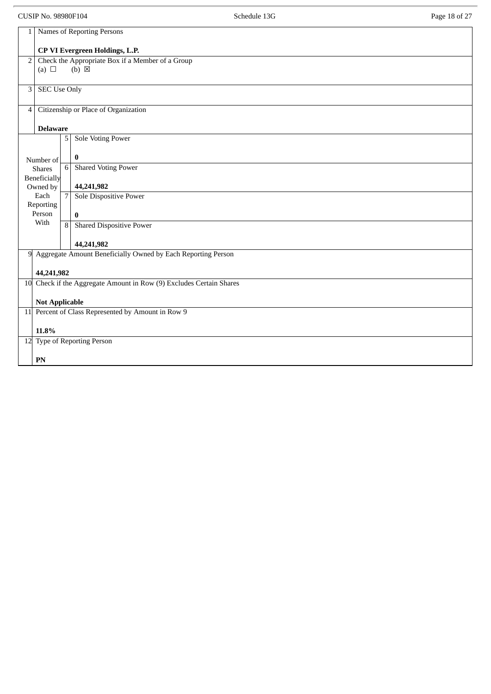CUSIP No. 98980F104 **Schedule 13G** Schedule 13G Page 18 of 27

| 1              | Names of Reporting Persons                                                  |                                                  |                                                                     |  |  |
|----------------|-----------------------------------------------------------------------------|--------------------------------------------------|---------------------------------------------------------------------|--|--|
|                | <b>CP VI Evergreen Holdings, L.P.</b>                                       |                                                  |                                                                     |  |  |
| 2              |                                                                             | Check the Appropriate Box if a Member of a Group |                                                                     |  |  |
|                | (a) $\Box$                                                                  |                                                  | $(b) \boxtimes$                                                     |  |  |
| $\mathbf{3}$   | <b>SEC Use Only</b>                                                         |                                                  |                                                                     |  |  |
|                |                                                                             |                                                  |                                                                     |  |  |
| $\overline{4}$ |                                                                             |                                                  | Citizenship or Place of Organization                                |  |  |
|                | <b>Delaware</b>                                                             |                                                  |                                                                     |  |  |
|                |                                                                             | 5                                                | <b>Sole Voting Power</b>                                            |  |  |
|                | Number of                                                                   |                                                  | 0                                                                   |  |  |
|                | <b>Shares</b>                                                               | 6                                                | <b>Shared Voting Power</b>                                          |  |  |
|                | Beneficially                                                                |                                                  | 44,241,982                                                          |  |  |
|                | Owned by<br>Each                                                            | $\overline{7}$                                   | <b>Sole Dispositive Power</b>                                       |  |  |
|                | Reporting                                                                   |                                                  |                                                                     |  |  |
|                | Person<br>With                                                              |                                                  | $\bf{0}$                                                            |  |  |
|                |                                                                             | $\overline{8}$                                   | <b>Shared Dispositive Power</b>                                     |  |  |
|                |                                                                             |                                                  | 44,241,982                                                          |  |  |
| 9              |                                                                             |                                                  | Aggregate Amount Beneficially Owned by Each Reporting Person        |  |  |
|                | 44,241,982                                                                  |                                                  |                                                                     |  |  |
|                |                                                                             |                                                  | 10 Check if the Aggregate Amount in Row (9) Excludes Certain Shares |  |  |
|                |                                                                             |                                                  |                                                                     |  |  |
|                | <b>Not Applicable</b><br>11 Percent of Class Represented by Amount in Row 9 |                                                  |                                                                     |  |  |
|                |                                                                             |                                                  |                                                                     |  |  |
|                | 11.8%                                                                       |                                                  |                                                                     |  |  |
|                |                                                                             |                                                  | 12 Type of Reporting Person                                         |  |  |
|                | PN                                                                          |                                                  |                                                                     |  |  |
|                |                                                                             |                                                  |                                                                     |  |  |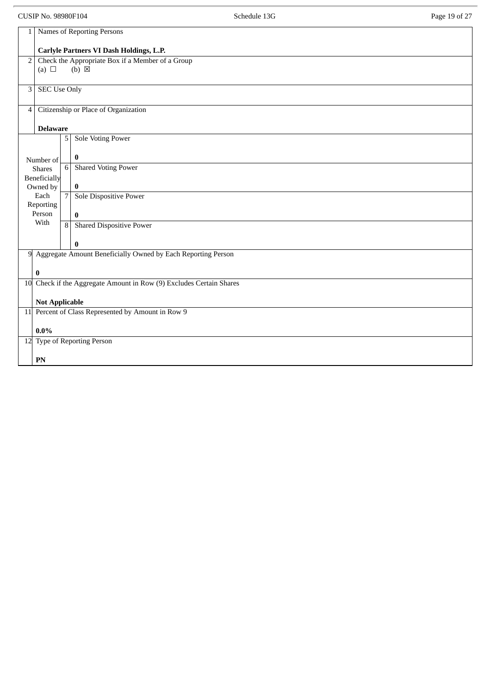CUSIP No. 98980F104 **Page 19 of 27** Schedule 13G **Page 19 of 27** Page 19 of 27 1 Names of Reporting Persons **Carlyle Partners VI Dash Holdings, L.P.** 2 Check the Appropriate Box if a Member of a Group (a)  $\Box$  (b)  $\boxtimes$ 3 SEC Use Only 4 Citizenship or Place of Organization **Delaware** Number of Shares Beneficially Owned by Each Reporting Person With 5 Sole Voting Power **0** 6 Shared Voting Power **0** 7 Sole Dispositive Power **0** 8 Shared Dispositive Power **0** 9 Aggregate Amount Beneficially Owned by Each Reporting Person **0** 10 Check if the Aggregate Amount in Row (9) Excludes Certain Shares **Not Applicable** 11 Percent of Class Represented by Amount in Row 9 **0.0%** 12 Type of Reporting Person **PN**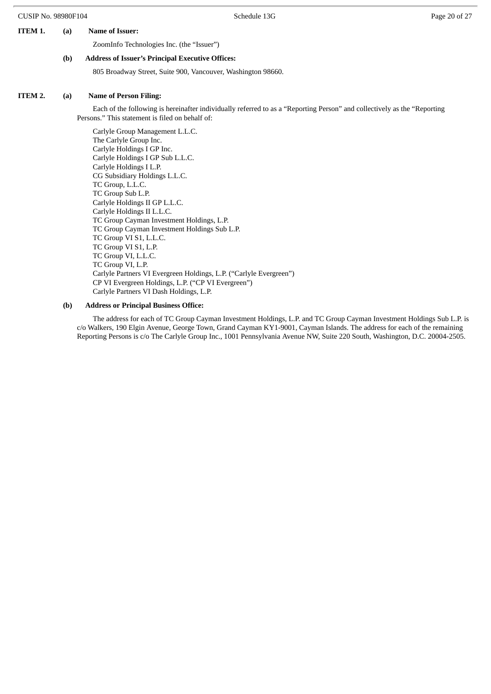# **ITEM 1. (a) Name of Issuer:**

ZoomInfo Technologies Inc. (the "Issuer")

#### **(b) Address of Issuer's Principal Executive Offices:**

805 Broadway Street, Suite 900, Vancouver, Washington 98660.

### **ITEM 2. (a) Name of Person Filing:**

Each of the following is hereinafter individually referred to as a "Reporting Person" and collectively as the "Reporting Persons." This statement is filed on behalf of:

Carlyle Group Management L.L.C. The Carlyle Group Inc. Carlyle Holdings I GP Inc. Carlyle Holdings I GP Sub L.L.C. Carlyle Holdings I L.P. CG Subsidiary Holdings L.L.C. TC Group, L.L.C. TC Group Sub L.P. Carlyle Holdings II GP L.L.C. Carlyle Holdings II L.L.C. TC Group Cayman Investment Holdings, L.P. TC Group Cayman Investment Holdings Sub L.P. TC Group VI S1, L.L.C. TC Group VI S1, L.P. TC Group VI, L.L.C. TC Group VI, L.P. Carlyle Partners VI Evergreen Holdings, L.P. ("Carlyle Evergreen") CP VI Evergreen Holdings, L.P. ("CP VI Evergreen") Carlyle Partners VI Dash Holdings, L.P.

#### **(b) Address or Principal Business Office:**

The address for each of TC Group Cayman Investment Holdings, L.P. and TC Group Cayman Investment Holdings Sub L.P. is c/o Walkers, 190 Elgin Avenue, George Town, Grand Cayman KY1-9001, Cayman Islands. The address for each of the remaining Reporting Persons is c/o The Carlyle Group Inc., 1001 Pennsylvania Avenue NW, Suite 220 South, Washington, D.C. 20004-2505.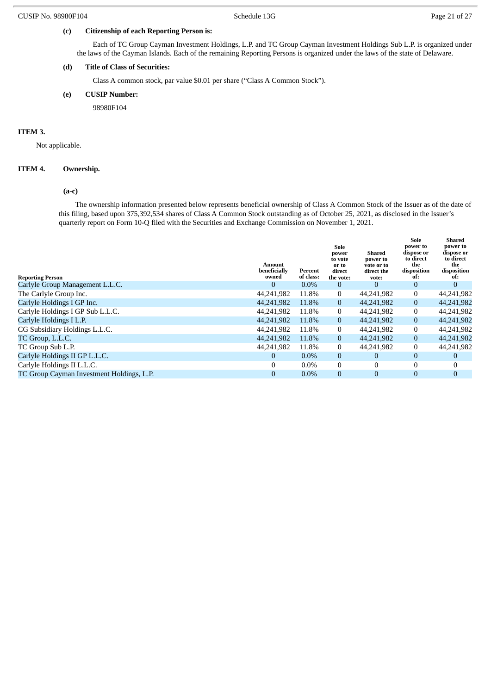# **(c) Citizenship of each Reporting Person is:**

Each of TC Group Cayman Investment Holdings, L.P. and TC Group Cayman Investment Holdings Sub L.P. is organized under the laws of the Cayman Islands. Each of the remaining Reporting Persons is organized under the laws of the state of Delaware.

# **(d) Title of Class of Securities:**

Class A common stock, par value \$0.01 per share ("Class A Common Stock").

#### **(e) CUSIP Number:**

98980F104

### **ITEM 3.**

Not applicable.

#### **ITEM 4. Ownership.**

#### **(a-c)**

The ownership information presented below represents beneficial ownership of Class A Common Stock of the Issuer as of the date of this filing, based upon 375,392,534 shares of Class A Common Stock outstanding as of October 25, 2021, as disclosed in the Issuer's quarterly report on Form 10-Q filed with the Securities and Exchange Commission on November 1, 2021.

| <b>Reporting Person</b>                   | Amount<br>beneficially<br>owned | Percent<br>of class: | Sole<br>power<br>to vote<br>or to<br>direct<br>the vote: | Shared<br>power to<br>vote or to<br>direct the<br>vote: | Sole<br>power to<br>dispose or<br>to direct<br>the<br>disposition<br>of: | Shared<br>power to<br>dispose or<br>to direct<br>the<br>disposition<br>of: |
|-------------------------------------------|---------------------------------|----------------------|----------------------------------------------------------|---------------------------------------------------------|--------------------------------------------------------------------------|----------------------------------------------------------------------------|
| Carlyle Group Management L.L.C.           | 0                               | $0.0\%$              | $\overline{0}$                                           | $\theta$                                                | $\mathbf{0}$                                                             | $\mathbf{0}$                                                               |
| The Carlyle Group Inc.                    | 44,241,982                      | 11.8%                | $\mathbf{0}$                                             | 44,241,982                                              | 0                                                                        | 44,241,982                                                                 |
| Carlyle Holdings I GP Inc.                | 44,241,982                      | 11.8%                | $\overline{0}$                                           | 44,241,982                                              | $\overline{0}$                                                           | 44,241,982                                                                 |
| Carlyle Holdings I GP Sub L.L.C.          | 44,241,982                      | 11.8%                | $\bf{0}$                                                 | 44,241,982                                              | $\mathbf{0}$                                                             | 44,241,982                                                                 |
| Carlyle Holdings I L.P.                   | 44,241,982                      | 11.8%                | $\overline{0}$                                           | 44,241,982                                              | $\mathbf{0}$                                                             | 44,241,982                                                                 |
| CG Subsidiary Holdings L.L.C.             | 44,241,982                      | 11.8%                | $\overline{0}$                                           | 44,241,982                                              | $\mathbf{0}$                                                             | 44,241,982                                                                 |
| TC Group, L.L.C.                          | 44,241,982                      | 11.8%                | $\overline{0}$                                           | 44,241,982                                              | $\mathbf{0}$                                                             | 44,241,982                                                                 |
| TC Group Sub L.P.                         | 44,241,982                      | 11.8%                | $\overline{0}$                                           | 44,241,982                                              | $\mathbf{0}$                                                             | 44,241,982                                                                 |
| Carlyle Holdings II GP L.L.C.             | 0                               | $0.0\%$              | $\mathbf{0}$                                             | $\bf{0}$                                                | $\mathbf{0}$                                                             | $\overline{0}$                                                             |
| Carlyle Holdings II L.L.C.                | 0                               | $0.0\%$              | $\Omega$                                                 | $\Omega$                                                | $\mathbf{0}$                                                             | $\mathbf{0}$                                                               |
| TC Group Cayman Investment Holdings, L.P. | 0                               | $0.0\%$              | $\theta$                                                 | $\Omega$                                                | $\mathbf{0}$                                                             | $\mathbf{0}$                                                               |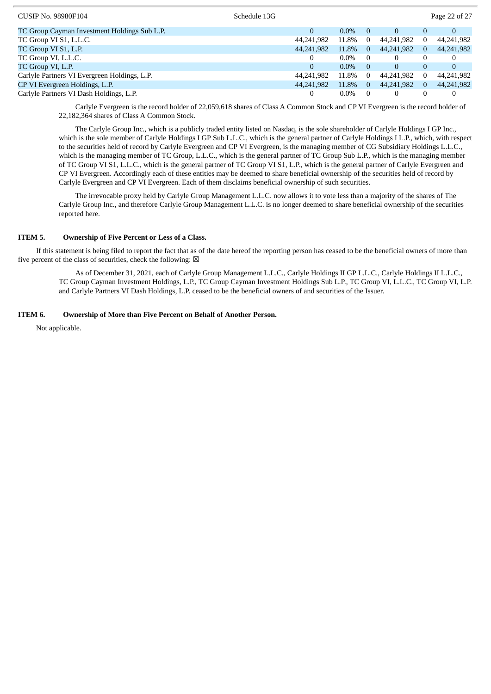| <b>CUSIP No. 98980F104</b>                   | Schedule 13G |              |         |          |            |          | Page 22 of 27 |
|----------------------------------------------|--------------|--------------|---------|----------|------------|----------|---------------|
| TC Group Cayman Investment Holdings Sub L.P. |              | $\mathbf{0}$ | $0.0\%$ | $\Omega$ | $\Omega$   |          | $\mathbf{0}$  |
| TC Group VI S1, L.L.C.                       |              | 44,241,982   | 11.8%   | $\Omega$ | 44,241,982 |          | 44,241,982    |
| TC Group VI S1, L.P.                         |              | 44,241,982   | 11.8%   | $\Omega$ | 44,241,982 | $\Omega$ | 44,241,982    |
| TC Group VI, L.L.C.                          |              | 0            | $0.0\%$ | $\theta$ | 0          |          | 0             |
| TC Group VI, L.P.                            |              | $\mathbf{0}$ | $0.0\%$ | $\Omega$ | $\Omega$   |          | $\mathbf{0}$  |
| Carlyle Partners VI Evergreen Holdings, L.P. |              | 44,241,982   | 11.8%   | $\Omega$ | 44,241,982 |          | 44,241,982    |
| CP VI Evergreen Holdings, L.P.               |              | 44,241,982   | 11.8%   | $\Omega$ | 44,241,982 |          | 44,241,982    |
| Carlyle Partners VI Dash Holdings, L.P.      |              | 0            | $0.0\%$ | $\Omega$ |            |          |               |

Carlyle Evergreen is the record holder of 22,059,618 shares of Class A Common Stock and CP VI Evergreen is the record holder of 22,182,364 shares of Class A Common Stock.

The Carlyle Group Inc., which is a publicly traded entity listed on Nasdaq, is the sole shareholder of Carlyle Holdings I GP Inc., which is the sole member of Carlyle Holdings I GP Sub L.L.C., which is the general partner of Carlyle Holdings I L.P., which, with respect to the securities held of record by Carlyle Evergreen and CP VI Evergreen, is the managing member of CG Subsidiary Holdings L.L.C., which is the managing member of TC Group, L.L.C., which is the general partner of TC Group Sub L.P., which is the managing member of TC Group VI S1, L.L.C., which is the general partner of TC Group VI S1, L.P., which is the general partner of Carlyle Evergreen and CP VI Evergreen. Accordingly each of these entities may be deemed to share beneficial ownership of the securities held of record by Carlyle Evergreen and CP VI Evergreen. Each of them disclaims beneficial ownership of such securities.

The irrevocable proxy held by Carlyle Group Management L.L.C. now allows it to vote less than a majority of the shares of The Carlyle Group Inc., and therefore Carlyle Group Management L.L.C. is no longer deemed to share beneficial ownership of the securities reported here.

#### **ITEM 5. Ownership of Five Percent or Less of a Class.**

If this statement is being filed to report the fact that as of the date hereof the reporting person has ceased to be the beneficial owners of more than five percent of the class of securities, check the following:  $\boxtimes$ 

As of December 31, 2021, each of Carlyle Group Management L.L.C., Carlyle Holdings II GP L.L.C., Carlyle Holdings II L.L.C., TC Group Cayman Investment Holdings, L.P., TC Group Cayman Investment Holdings Sub L.P., TC Group VI, L.L.C., TC Group VI, L.P. and Carlyle Partners VI Dash Holdings, L.P. ceased to be the beneficial owners of and securities of the Issuer.

# **ITEM 6. Ownership of More than Five Percent on Behalf of Another Person.**

Not applicable.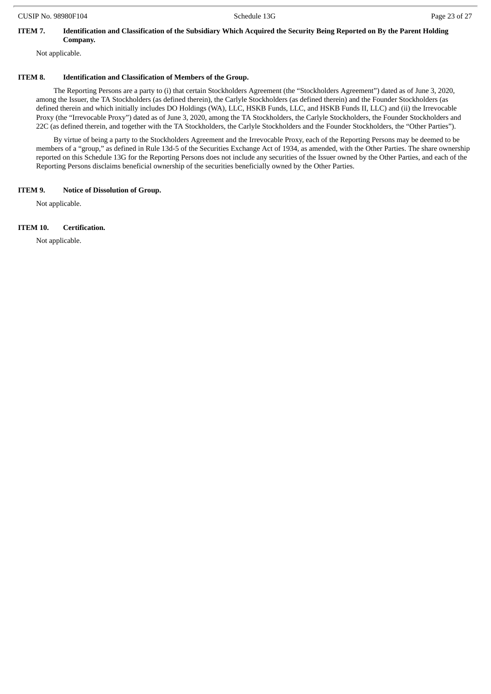# ITEM 7. Identification and Classification of the Subsidiary Which Acquired the Security Being Reported on By the Parent Holding **Company.**

Not applicable.

## **ITEM 8. Identification and Classification of Members of the Group.**

The Reporting Persons are a party to (i) that certain Stockholders Agreement (the "Stockholders Agreement") dated as of June 3, 2020, among the Issuer, the TA Stockholders (as defined therein), the Carlyle Stockholders (as defined therein) and the Founder Stockholders (as defined therein and which initially includes DO Holdings (WA), LLC, HSKB Funds, LLC, and HSKB Funds II, LLC) and (ii) the Irrevocable Proxy (the "Irrevocable Proxy") dated as of June 3, 2020, among the TA Stockholders, the Carlyle Stockholders, the Founder Stockholders and 22C (as defined therein, and together with the TA Stockholders, the Carlyle Stockholders and the Founder Stockholders, the "Other Parties").

By virtue of being a party to the Stockholders Agreement and the Irrevocable Proxy, each of the Reporting Persons may be deemed to be members of a "group," as defined in Rule 13d-5 of the Securities Exchange Act of 1934, as amended, with the Other Parties. The share ownership reported on this Schedule 13G for the Reporting Persons does not include any securities of the Issuer owned by the Other Parties, and each of the Reporting Persons disclaims beneficial ownership of the securities beneficially owned by the Other Parties.

#### **ITEM 9. Notice of Dissolution of Group.**

Not applicable.

#### **ITEM 10. Certification.**

Not applicable.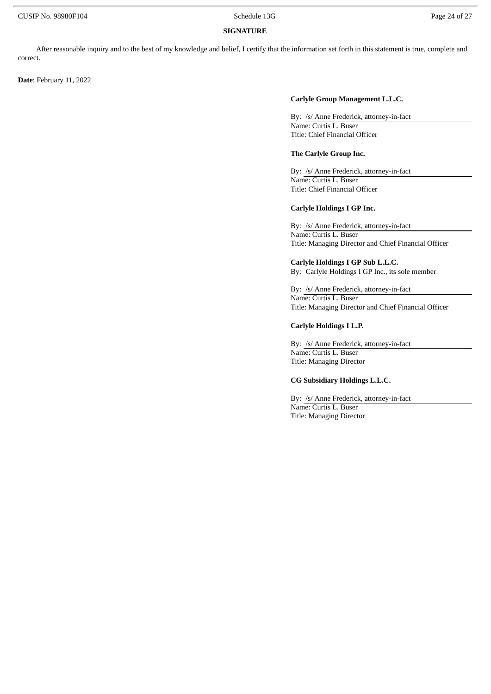#### **SIGNATURE**

After reasonable inquiry and to the best of my knowledge and belief, I certify that the information set forth in this statement is true, complete and correct.

**Date**: February 11, 2022

#### **Carlyle Group Management L.L.C.**

By: /s/ Anne Frederick, attorney-in-fact Name: Curtis L. Buser Title: Chief Financial Officer

#### **The Carlyle Group Inc.**

By: /s/ Anne Frederick, attorney-in-fact Name: Curtis L. Buser Title: Chief Financial Officer

#### **Carlyle Holdings I GP Inc.**

By: /s/ Anne Frederick, attorney-in-fact Name: Curtis L. Buser Title: Managing Director and Chief Financial Officer

**Carlyle Holdings I GP Sub L.L.C.** By: Carlyle Holdings I GP Inc., its sole member

By: /s/ Anne Frederick, attorney-in-fact Name: Curtis L. Buser Title: Managing Director and Chief Financial Officer

#### **Carlyle Holdings I L.P.**

By: /s/ Anne Frederick, attorney-in-fact Name: Curtis L. Buser Title: Managing Director

### **CG Subsidiary Holdings L.L.C.**

By: /s/ Anne Frederick, attorney-in-fact Name: Curtis L. Buser Title: Managing Director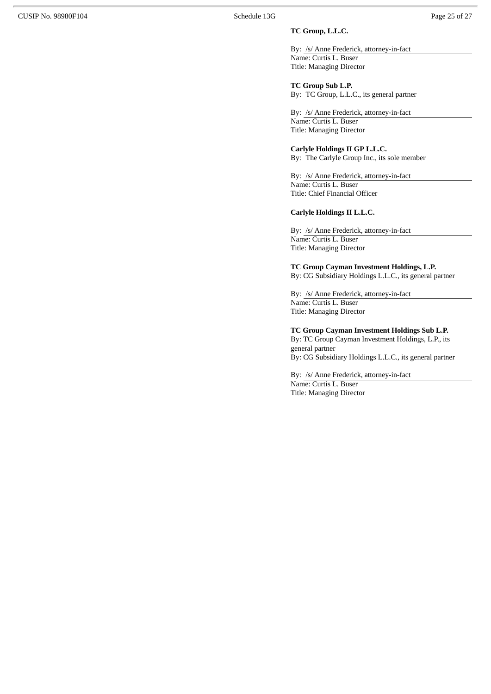# **TC Group, L.L.C.**

By: /s/ Anne Frederick, attorney-in-fact Name: Curtis L. Buser Title: Managing Director

**TC Group Sub L.P.** By: TC Group, L.L.C., its general partner

By: /s/ Anne Frederick, attorney-in-fact Name: Curtis L. Buser Title: Managing Director

#### **Carlyle Holdings II GP L.L.C.**

By: The Carlyle Group Inc., its sole member

By: /s/ Anne Frederick, attorney-in-fact Name: Curtis L. Buser Title: Chief Financial Officer

## **Carlyle Holdings II L.L.C.**

By: /s/ Anne Frederick, attorney-in-fact Name: Curtis L. Buser Title: Managing Director

#### **TC Group Cayman Investment Holdings, L.P.**

By: CG Subsidiary Holdings L.L.C., its general partner

By: /s/ Anne Frederick, attorney-in-fact Name: Curtis L. Buser Title: Managing Director

#### **TC Group Cayman Investment Holdings Sub L.P.**

By: TC Group Cayman Investment Holdings, L.P., its general partner By: CG Subsidiary Holdings L.L.C., its general partner

By: /s/ Anne Frederick, attorney-in-fact Name: Curtis L. Buser Title: Managing Director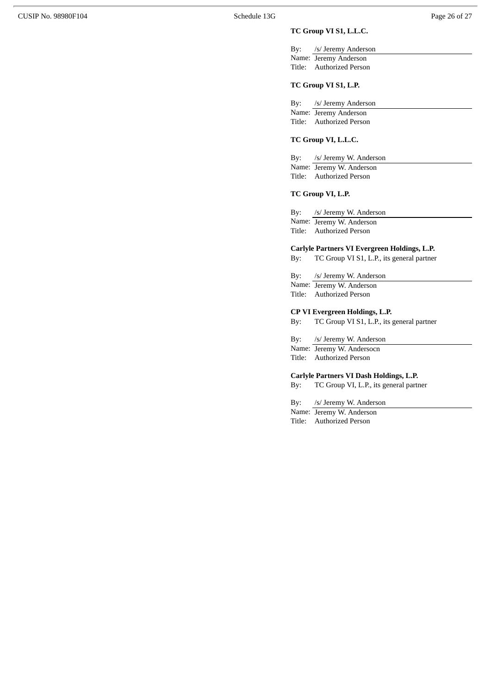# **TC Group VI S1, L.L.C.**

By: /s/ Jeremy Anderson Name: Jeremy Anderson Title: Authorized Person

# **TC Group VI S1, L.P.**

By: /s/ Jeremy Anderson Name: Jeremy Anderson Title: Authorized Person

# **TC Group VI, L.L.C.**

By: /s/ Jeremy W. Anderson Name: Jeremy W. Anderson Title: Authorized Person

# **TC Group VI, L.P.**

By: /s/ Jeremy W. Anderson Name: Jeremy W. Anderson Title: Authorized Person

# **Carlyle Partners VI Evergreen Holdings, L.P.**

By: TC Group VI S1, L.P., its general partner

By: /s/ Jeremy W. Anderson Name: Jeremy W. Anderson Title: Authorized Person

#### **CP VI Evergreen Holdings, L.P.**

By: TC Group VI S1, L.P., its general partner

By: /s/ Jeremy W. Anderson

Name: Jeremy W. Andersocn Title: Authorized Person

# **Carlyle Partners VI Dash Holdings, L.P.**

By: TC Group VI, L.P., its general partner

By: /s/ Jeremy W. Anderson

Name: Jeremy W. Anderson Title: Authorized Person